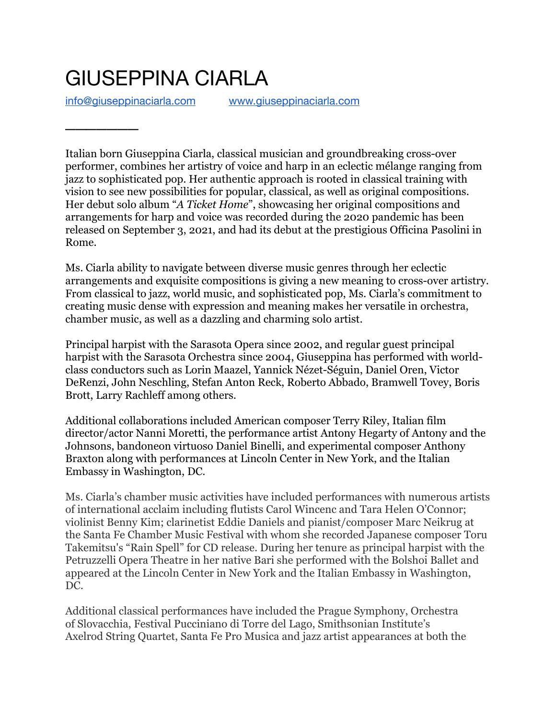## GIUSEPPINA CIARLA

 $\overline{\phantom{a}}$ 

[info@giuseppinaciarla.com](mailto:info@giuseppinaciarla.com) [www.giuseppinaciarla.com](http://www.giuseppinaciarla.com)

Italian born Giuseppina Ciarla, classical musician and groundbreaking cross-over performer, combines her artistry of voice and harp in an eclectic mélange ranging from jazz to sophisticated pop. Her authentic approach is rooted in classical training with vision to see new possibilities for popular, classical, as well as original compositions. Her debut solo album "*A Ticket Home*", showcasing her original compositions and arrangements for harp and voice was recorded during the 2020 pandemic has been released on September 3, 2021, and had its debut at the prestigious Officina Pasolini in Rome.

Ms. Ciarla ability to navigate between diverse music genres through her eclectic arrangements and exquisite compositions is giving a new meaning to cross-over artistry. From classical to jazz, world music, and sophisticated pop, Ms. Ciarla's commitment to creating music dense with expression and meaning makes her versatile in orchestra, chamber music, as well as a dazzling and charming solo artist.

Principal harpist with the Sarasota Opera since 2002, and regular guest principal harpist with the Sarasota Orchestra since 2004, Giuseppina has performed with worldclass conductors such as Lorin Maazel, Yannick Nézet-Séguin, Daniel Oren, Victor DeRenzi, John Neschling, Stefan Anton Reck, Roberto Abbado, Bramwell Tovey, Boris Brott, Larry Rachleff among others.

Additional collaborations included American composer Terry Riley, Italian film director/actor Nanni Moretti, the performance artist Antony Hegarty of Antony and the Johnsons, bandoneon virtuoso Daniel Binelli, and experimental composer Anthony Braxton along with performances at Lincoln Center in New York, and the Italian Embassy in Washington, DC.

Ms. Ciarla's chamber music activities have included performances with numerous artists of international acclaim including flutists Carol Wincenc and Tara Helen O'Connor; violinist Benny Kim; clarinetist Eddie Daniels and pianist/composer Marc Neikrug at the Santa Fe Chamber Music Festival with whom she recorded Japanese composer Toru Takemitsu's "Rain Spell" for CD release. During her tenure as principal harpist with the Petruzzelli Opera Theatre in her native Bari she performed with the Bolshoi Ballet and appeared at the Lincoln Center in New York and the Italian Embassy in Washington, DC.

Additional classical performances have included the Prague Symphony, Orchestra of Slovacchia, Festival Pucciniano di Torre del Lago, Smithsonian Institute's Axelrod String Quartet, Santa Fe Pro Musica and jazz artist appearances at both the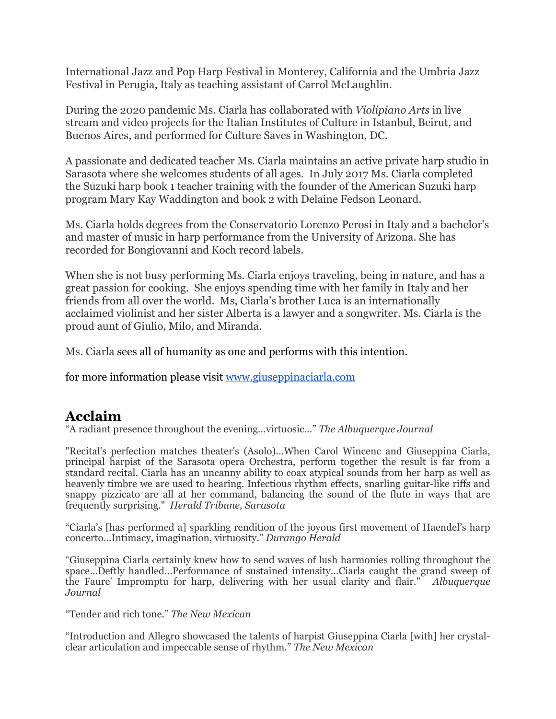International Jazz and Pop Harp Festival in Monterey, California and the Umbria Jazz Festival in Perugia, Italy as teaching assistant of Carrol McLaughlin.

During the 2020 pandemic Ms. Ciarla has collaborated with *Violipiano Arts* in live stream and video projects for the Italian Institutes of Culture in Istanbul, Beirut, and Buenos Aires, and performed for Culture Saves in Washington, DC.

A passionate and dedicated teacher Ms. Ciarla maintains an active private harp studio in Sarasota where she welcomes students of all ages. In July 2017 Ms. Ciarla completed the Suzuki harp book 1 teacher training with the founder of the American Suzuki harp program Mary Kay Waddington and book 2 with Delaine Fedson Leonard.

Ms. Ciarla holds degrees from the Conservatorio Lorenzo Perosi in Italy and a bachelor's and master of music in harp performance from the University of Arizona. She has recorded for Bongiovanni and Koch record labels.

When she is not busy performing Ms. Ciarla enjoys traveling, being in nature, and has a great passion for cooking. She enjoys spending time with her family in Italy and her friends from all over the world. Ms, Ciarla's brother Luca is an internationally acclaimed violinist and her sister Alberta is a lawyer and a songwriter. Ms. Ciarla is the proud aunt of Giulio, Milo, and Miranda.

Ms. Ciarla sees all of humanity as one and performs with this intention.

for more information please visit [www.giuseppinaciarla.com](http://www.giuseppinaciarla.com)

## **Acclaim**

"A radiant presence throughout the evening…virtuosic…" *The Albuquerque Journal* 

"Recital's perfection matches theater's (Asolo)...When Carol Wincenc and Giuseppina Ciarla, principal harpist of the Sarasota opera Orchestra, perform together the result is far from a standard recital. Ciarla has an uncanny ability to coax atypical sounds from her harp as well as heavenly timbre we are used to hearing. Infectious rhythm effects, snarling guitar-like riffs and snappy pizzicato are all at her command, balancing the sound of the flute in ways that are frequently surprising." *Herald Tribune, Sarasota* 

"Ciarla's [has performed a] sparkling rendition of the joyous first movement of Haendel's harp concerto…Intimacy, imagination, virtuosity." *Durango Herald*

"Giuseppina Ciarla certainly knew how to send waves of lush harmonies rolling throughout the space…Deftly handled…Performance of sustained intensity…Ciarla caught the grand sweep of the Faure' Impromptu for harp, delivering with her usual clarity and flair." *Albuquerque Journal* 

"Tender and rich tone." *The New Mexican* 

"Introduction and Allegro showcased the talents of harpist Giuseppina Ciarla [with] her crystalclear articulation and impeccable sense of rhythm." *The New Mexican*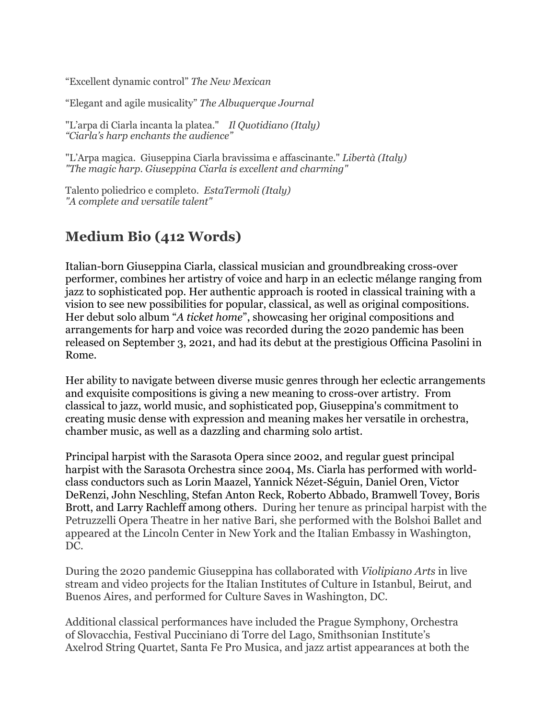"Excellent dynamic control" *The New Mexican* 

"Elegant and agile musicality" *The Albuquerque Journal* 

"L'arpa di Ciarla incanta la platea." *Il Quotidiano (Italy) "Ciarla's harp enchants the audience"* 

"L'Arpa magica. Giuseppina Ciarla bravissima e affascinante." *Libertà (Italy) "The magic harp. Giuseppina Ciarla is excellent and charming"* 

Talento poliedrico e completo. *EstaTermoli (Italy) "A complete and versatile talent"* 

## **Medium Bio (412 Words)**

Italian-born Giuseppina Ciarla, classical musician and groundbreaking cross-over performer, combines her artistry of voice and harp in an eclectic mélange ranging from jazz to sophisticated pop. Her authentic approach is rooted in classical training with a vision to see new possibilities for popular, classical, as well as original compositions. Her debut solo album "*A ticket home*", showcasing her original compositions and arrangements for harp and voice was recorded during the 2020 pandemic has been released on September 3, 2021, and had its debut at the prestigious Officina Pasolini in Rome.

Her ability to navigate between diverse music genres through her eclectic arrangements and exquisite compositions is giving a new meaning to cross-over artistry. From classical to jazz, world music, and sophisticated pop, Giuseppina's commitment to creating music dense with expression and meaning makes her versatile in orchestra, chamber music, as well as a dazzling and charming solo artist.

Principal harpist with the Sarasota Opera since 2002, and regular guest principal harpist with the Sarasota Orchestra since 2004, Ms. Ciarla has performed with worldclass conductors such as Lorin Maazel, Yannick Nézet-Séguin, Daniel Oren, Victor DeRenzi, John Neschling, Stefan Anton Reck, Roberto Abbado, Bramwell Tovey, Boris Brott, and Larry Rachleff among others. During her tenure as principal harpist with the Petruzzelli Opera Theatre in her native Bari, she performed with the Bolshoi Ballet and appeared at the Lincoln Center in New York and the Italian Embassy in Washington, DC.

During the 2020 pandemic Giuseppina has collaborated with *Violipiano Arts* in live stream and video projects for the Italian Institutes of Culture in Istanbul, Beirut, and Buenos Aires, and performed for Culture Saves in Washington, DC.

Additional classical performances have included the Prague Symphony, Orchestra of Slovacchia, Festival Pucciniano di Torre del Lago, Smithsonian Institute's Axelrod String Quartet, Santa Fe Pro Musica, and jazz artist appearances at both the